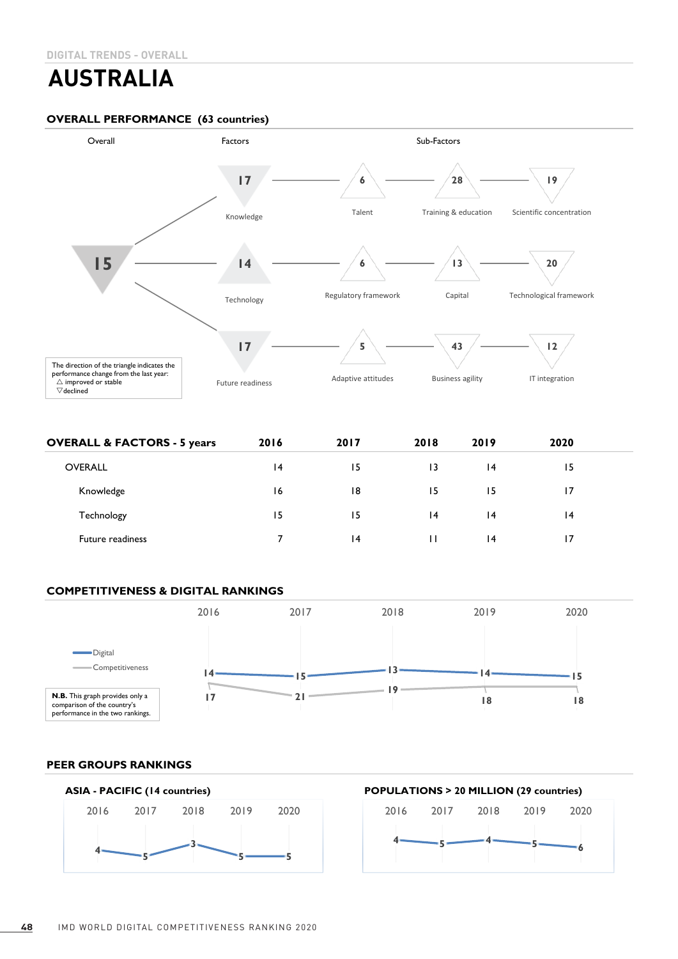# **AUSTRALIA**

## **OVERALL PERFORMANCE (63 countries)**



| <b>OVERALL &amp; FACTORS - 5 years</b> | 2016 | 2017            | 2018 | 2019            | 2020 |  |
|----------------------------------------|------|-----------------|------|-----------------|------|--|
| <b>OVERALL</b>                         | 14   | 15              | 13   | $\overline{14}$ | 15   |  |
| Knowledge                              | 16   | 18              | 15   | 15              | 17   |  |
| Technology                             | 15   | 15              | 4    | 4               | 14   |  |
| <b>Future readiness</b>                |      | $\overline{14}$ |      | $\overline{14}$ |      |  |

# **COMPETITIVENESS & DIGITAL RANKINGS**



#### **PEER GROUPS RANKINGS**